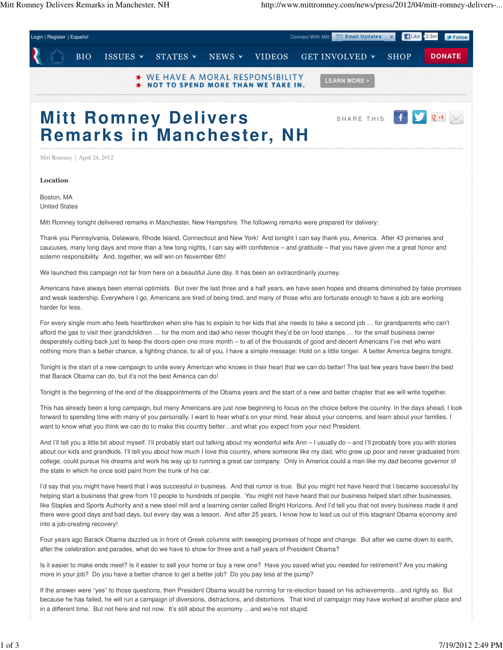

Four years ago Barack Obama dazzled us in front of Greek columns with sweeping promises of hope and change. But after we came down to earth, after the celebration and parades, what do we have to show for three and a half years of President Obama?

Is it easier to make ends meet? Is it easier to sell your home or buy a new one? Have you saved what you needed for retirement? Are you making more in your job? Do you have a better chance to get a better job? Do you pay less at the pump?

If the answer were "yes" to those questions, then President Obama would be running for re-election based on his achievements…and rightly so. But because he has failed, he will run a campaign of diversions, distractions, and distortions. That kind of campaign may have worked at another place and in a different time. But not here and not now. It's still about the economy …and we're not stupid.

into a job-creating recovery!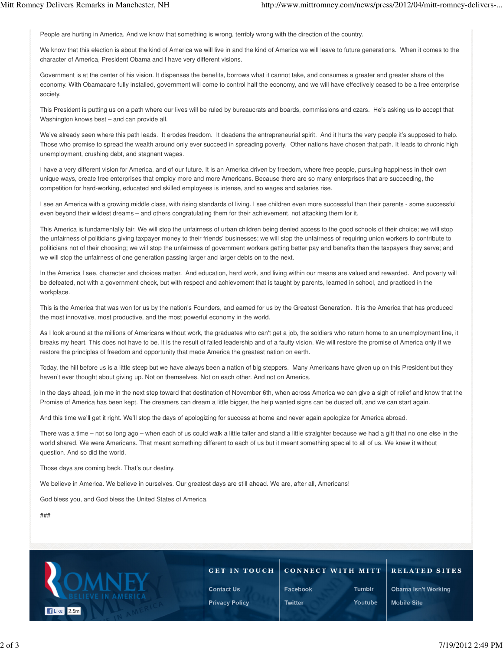People are hurting in America. And we know that something is wrong, terribly wrong with the direction of the country.

We know that this election is about the kind of America we will live in and the kind of America we will leave to future generations. When it comes to the character of America, President Obama and I have very different visions.

Government is at the center of his vision. It dispenses the benefits, borrows what it cannot take, and consumes a greater and greater share of the economy. With Obamacare fully installed, government will come to control half the economy, and we will have effectively ceased to be a free enterprise society.

This President is putting us on a path where our lives will be ruled by bureaucrats and boards, commissions and czars. He's asking us to accept that Washington knows best – and can provide all.

We've already seen where this path leads. It erodes freedom. It deadens the entrepreneurial spirit. And it hurts the very people it's supposed to help. Those who promise to spread the wealth around only ever succeed in spreading poverty. Other nations have chosen that path. It leads to chronic high unemployment, crushing debt, and stagnant wages.

I have a very different vision for America, and of our future. It is an America driven by freedom, where free people, pursuing happiness in their own unique ways, create free enterprises that employ more and more Americans. Because there are so many enterprises that are succeeding, the competition for hard-working, educated and skilled employees is intense, and so wages and salaries rise.

I see an America with a growing middle class, with rising standards of living. I see children even more successful than their parents - some successful even beyond their wildest dreams – and others congratulating them for their achievement, not attacking them for it.

This America is fundamentally fair. We will stop the unfairness of urban children being denied access to the good schools of their choice; we will stop the unfairness of politicians giving taxpayer money to their friends' businesses; we will stop the unfairness of requiring union workers to contribute to politicians not of their choosing; we will stop the unfairness of government workers getting better pay and benefits than the taxpayers they serve; and we will stop the unfairness of one generation passing larger and larger debts on to the next.

In the America I see, character and choices matter. And education, hard work, and living within our means are valued and rewarded. And poverty will be defeated, not with a government check, but with respect and achievement that is taught by parents, learned in school, and practiced in the workplace.

This is the America that was won for us by the nation's Founders, and earned for us by the Greatest Generation. It is the America that has produced the most innovative, most productive, and the most powerful economy in the world.

As I look around at the millions of Americans without work, the graduates who can't get a job, the soldiers who return home to an unemployment line, it breaks my heart. This does not have to be. It is the result of failed leadership and of a faulty vision. We will restore the promise of America only if we restore the principles of freedom and opportunity that made America the greatest nation on earth.

Today, the hill before us is a little steep but we have always been a nation of big steppers. Many Americans have given up on this President but they haven't ever thought about giving up. Not on themselves. Not on each other. And not on America.

In the days ahead, join me in the next step toward that destination of November 6th, when across America we can give a sigh of relief and know that the Promise of America has been kept. The dreamers can dream a little bigger, the help wanted signs can be dusted off, and we can start again.

And this time we'll get it right. We'll stop the days of apologizing for success at home and never again apologize for America abroad.

There was a time – not so long ago – when each of us could walk a little taller and stand a little straighter because we had a gift that no one else in the world shared. We were Americans. That meant something different to each of us but it meant something special to all of us. We knew it without question. And so did the world.

Those days are coming back. That's our destiny.

We believe in America. We believe in ourselves. Our greatest days are still ahead. We are, after all, Americans!

God bless you, and God bless the United States of America.

###